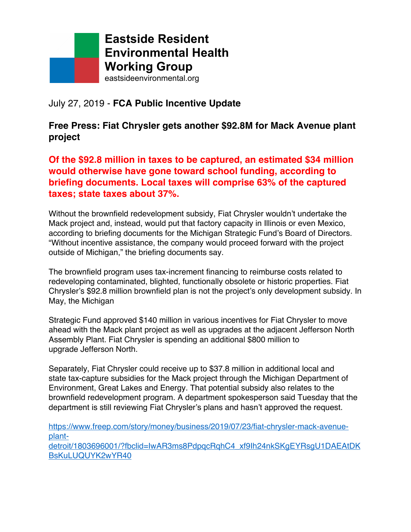

## July 27, 2019 - **FCA Public Incentive Update**

**Free Press: Fiat Chrysler gets another \$92.8M for Mack Avenue plant project**

**Of the \$92.8 million in taxes to be captured, an estimated \$34 million would otherwise have gone toward school funding, according to briefing documents. Local taxes will comprise 63% of the captured taxes; state taxes about 37%.**

Without the brownfield redevelopment subsidy, Fiat Chrysler wouldn't undertake the Mack project and, instead, would put that factory capacity in Illinois or even Mexico, according to briefing documents for the Michigan Strategic Fund's Board of Directors. "Without incentive assistance, the company would proceed forward with the project outside of Michigan," the briefing documents say.

The brownfield program uses tax-increment financing to reimburse costs related to redeveloping contaminated, blighted, functionally obsolete or historic properties. Fiat Chrysler's \$92.8 million brownfield plan is not the project's only development subsidy. In May, the Michigan

Strategic Fund approved \$140 million in various incentives for Fiat Chrysler to move ahead with the Mack plant project as well as upgrades at the adjacent Jefferson North Assembly Plant. Fiat Chrysler is spending an additional \$800 million to upgrade Jefferson North.

Separately, Fiat Chrysler could receive up to \$37.8 million in additional local and state tax-capture subsidies for the Mack project through the Michigan Department of Environment, Great Lakes and Energy. That potential subsidy also relates to the brownfield redevelopment program. A department spokesperson said Tuesday that the department is still reviewing Fiat Chrysler's plans and hasn't approved the request.

https://www.freep.com/story/money/business/2019/07/23/fiat-chrysler-mack-avenueplantdetroit/1803696001/?fbclid=IwAR3ms8PdpqcRqhC4\_xf9Ih24nkSKgEYRsgU1DAEAtDK BsKuLUQUYK2wYR40